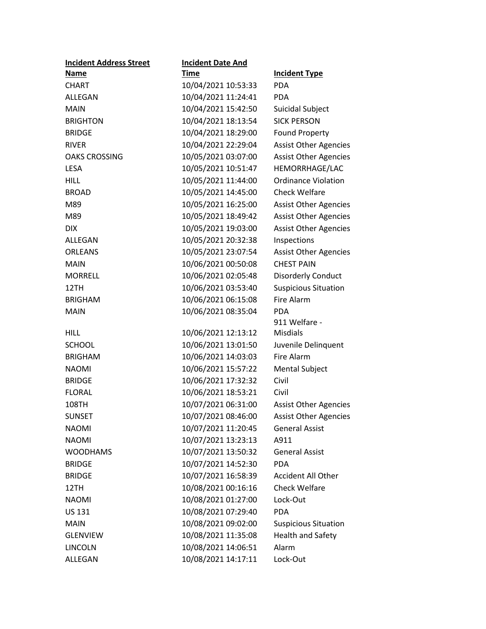| <b>Incident Address Street</b> | <b>Incident Date And</b> |                              |
|--------------------------------|--------------------------|------------------------------|
| <b>Name</b>                    | Time                     | <b>Incident Type</b>         |
| <b>CHART</b>                   | 10/04/2021 10:53:33      | <b>PDA</b>                   |
| ALLEGAN                        | 10/04/2021 11:24:41      | <b>PDA</b>                   |
| <b>MAIN</b>                    | 10/04/2021 15:42:50      | Suicidal Subject             |
| <b>BRIGHTON</b>                | 10/04/2021 18:13:54      | <b>SICK PERSON</b>           |
| <b>BRIDGE</b>                  | 10/04/2021 18:29:00      | <b>Found Property</b>        |
| <b>RIVER</b>                   | 10/04/2021 22:29:04      | <b>Assist Other Agencies</b> |
| <b>OAKS CROSSING</b>           | 10/05/2021 03:07:00      | <b>Assist Other Agencies</b> |
| <b>LESA</b>                    | 10/05/2021 10:51:47      | HEMORRHAGE/LAC               |
| <b>HILL</b>                    | 10/05/2021 11:44:00      | <b>Ordinance Violation</b>   |
| <b>BROAD</b>                   | 10/05/2021 14:45:00      | <b>Check Welfare</b>         |
| M89                            | 10/05/2021 16:25:00      | <b>Assist Other Agencies</b> |
| M89                            | 10/05/2021 18:49:42      | <b>Assist Other Agencies</b> |
| <b>DIX</b>                     | 10/05/2021 19:03:00      | <b>Assist Other Agencies</b> |
| ALLEGAN                        | 10/05/2021 20:32:38      | Inspections                  |
| <b>ORLEANS</b>                 | 10/05/2021 23:07:54      | <b>Assist Other Agencies</b> |
| <b>MAIN</b>                    | 10/06/2021 00:50:08      | <b>CHEST PAIN</b>            |
| <b>MORRELL</b>                 | 10/06/2021 02:05:48      | <b>Disorderly Conduct</b>    |
| 12TH                           | 10/06/2021 03:53:40      | <b>Suspicious Situation</b>  |
| <b>BRIGHAM</b>                 | 10/06/2021 06:15:08      | Fire Alarm                   |
| <b>MAIN</b>                    | 10/06/2021 08:35:04      | <b>PDA</b>                   |
|                                |                          | 911 Welfare -                |
| <b>HILL</b>                    | 10/06/2021 12:13:12      | <b>Misdials</b>              |
| <b>SCHOOL</b>                  | 10/06/2021 13:01:50      | Juvenile Delinquent          |
| <b>BRIGHAM</b>                 | 10/06/2021 14:03:03      | Fire Alarm                   |
| <b>NAOMI</b>                   | 10/06/2021 15:57:22      | <b>Mental Subject</b>        |
| <b>BRIDGE</b>                  | 10/06/2021 17:32:32      | Civil                        |
| <b>FLORAL</b>                  | 10/06/2021 18:53:21      | Civil                        |
| 108TH                          | 10/07/2021 06:31:00      | <b>Assist Other Agencies</b> |
| <b>SUNSET</b>                  | 10/07/2021 08:46:00      | <b>Assist Other Agencies</b> |
| <b>NAOMI</b>                   | 10/07/2021 11:20:45      | <b>General Assist</b>        |
| <b>NAOMI</b>                   | 10/07/2021 13:23:13      | A911                         |
| <b>WOODHAMS</b>                | 10/07/2021 13:50:32      | <b>General Assist</b>        |
| <b>BRIDGE</b>                  | 10/07/2021 14:52:30      | <b>PDA</b>                   |
| <b>BRIDGE</b>                  | 10/07/2021 16:58:39      | <b>Accident All Other</b>    |
| 12TH                           | 10/08/2021 00:16:16      | <b>Check Welfare</b>         |
| <b>NAOMI</b>                   | 10/08/2021 01:27:00      | Lock-Out                     |
| <b>US 131</b>                  | 10/08/2021 07:29:40      | <b>PDA</b>                   |
| <b>MAIN</b>                    | 10/08/2021 09:02:00      | <b>Suspicious Situation</b>  |
| <b>GLENVIEW</b>                | 10/08/2021 11:35:08      | <b>Health and Safety</b>     |
| <b>LINCOLN</b>                 | 10/08/2021 14:06:51      | Alarm                        |
| ALLEGAN                        | 10/08/2021 14:17:11      | Lock-Out                     |